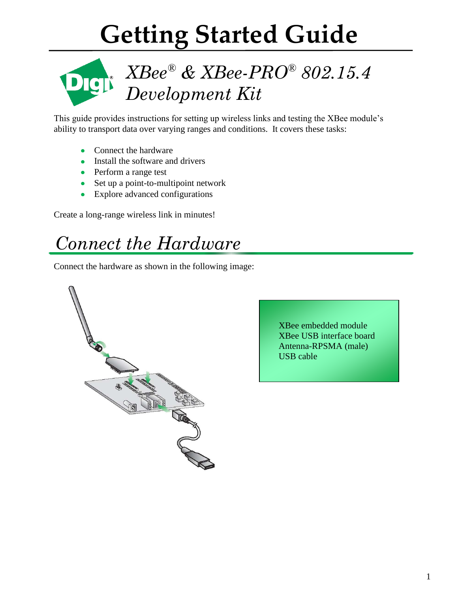# **Getting Started Guide**



# *XBee® & XBee-PRO® 802.15.4 Development Kit*

This guide provides instructions for setting up wireless links and testing the XBee module's ability to transport data over varying ranges and conditions. It covers these tasks:

- Connect the hardware  $\bullet$
- Install the software and drivers
- Perform a range test
- Set up a point-to-multipoint network
- Explore advanced configurations

Create a long-range wireless link in minutes!

# *Connect the Hardware*

Connect the hardware as shown in the following image:



XBee embedded module XBee USB interface board Antenna-RPSMA (male) USB cable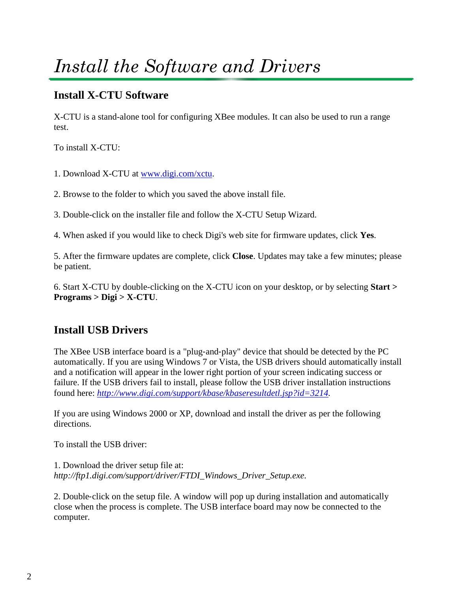# *Install the Software and Drivers*

#### **Install X-CTU Software**

X-CTU is a stand-alone tool for configuring XBee modules. It can also be used to run a range test.

To install X-CTU:

- 1. Download X-CTU at [www.digi.com/xctu.](http://www.digi.com/xctu)
- 2. Browse to the folder to which you saved the above install file.

3. Double-click on the installer file and follow the X-CTU Setup Wizard.

4. When asked if you would like to check Digi's web site for firmware updates, click **Yes**.

5. After the firmware updates are complete, click **Close**. Updates may take a few minutes; please be patient.

6. Start X-CTU by double-clicking on the X-CTU icon on your desktop, or by selecting **Start > Programs > Digi > X-CTU**.

### **Install USB Drivers**

The XBee USB interface board is a "plug-and-play" device that should be detected by the PC automatically. If you are using Windows 7 or Vista, the USB drivers should automatically install and a notification will appear in the lower right portion of your screen indicating success or failure. If the USB drivers fail to install, please follow the USB driver installation instructions found here: *[http://www.digi.com/support/kbase/kbaseresultdetl.jsp?id=3214.](http://www.digi.com/support/kbase/kbaseresultdetl.jsp?id=3214)*

If you are using Windows 2000 or XP, download and install the driver as per the following directions.

To install the USB driver:

1. Download the driver setup file at: *http://ftp1.digi.com/support/driver/FTDI\_Windows\_Driver\_Setup.exe.*

2. Double-click on the setup file. A window will pop up during installation and automatically close when the process is complete. The USB interface board may now be connected to the computer.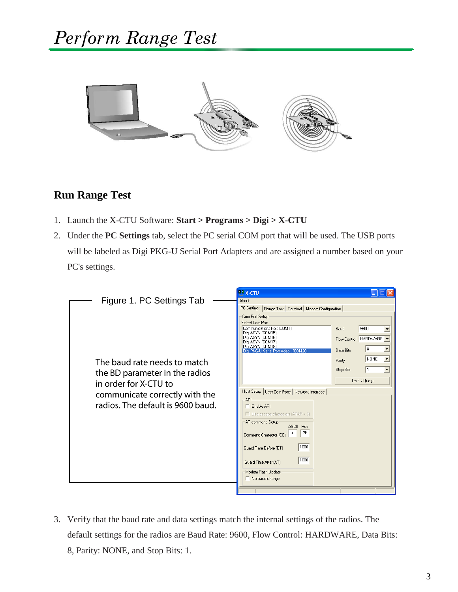

#### **Run Range Test**

- 1. Launch the X-CTU Software: **Start > Programs > Digi > X-CTU**
- 2. Under the **PC Settings** tab, select the PC serial COM port that will be used. The USB ports will be labeled as Digi PKG-U Serial Port Adapters and are assigned a number based on your PC's settings.

|                                   | <b>PEX-CTU</b>                                                               |  |  |  |  |
|-----------------------------------|------------------------------------------------------------------------------|--|--|--|--|
| Figure 1. PC Settings Tab         | About                                                                        |  |  |  |  |
|                                   | PC Settings   Range Test   Terminal   Modem Configuration                    |  |  |  |  |
|                                   | Com Port Setup<br>Select Com Port                                            |  |  |  |  |
|                                   | Communications Port (COM1)<br>9600<br>Baud                                   |  |  |  |  |
|                                   | Digi ASYN (COM15)<br>Digi ASYN (COM16)<br>Flow Control   HARDWARE            |  |  |  |  |
|                                   | Digi ASYN (COM17)<br>Digi ASYN (COM18)<br>18<br>$\blacktriangledown$         |  |  |  |  |
|                                   | Data Rits<br>Digi PKG-U Serial Port Adap (COM20)<br>$\overline{\phantom{a}}$ |  |  |  |  |
| The baud rate needs to match      | NONE<br>Parity                                                               |  |  |  |  |
| the BD parameter in the radios    | Stop Bits<br>$\overline{\phantom{a}}$<br>1                                   |  |  |  |  |
| in order for X-CTU to             | Test / Query                                                                 |  |  |  |  |
|                                   | Host Setup   User Com Ports   Network Interface                              |  |  |  |  |
| communicate correctly with the    | API-                                                                         |  |  |  |  |
| radios. The default is 9600 baud. | $\Box$ Enable API                                                            |  |  |  |  |
|                                   | $\Box$ Use escape characters (ATAP = 2)                                      |  |  |  |  |
|                                   | AT command Setup<br>ASCII Hex                                                |  |  |  |  |
|                                   | 2B<br>Command Character (CC)                                                 |  |  |  |  |
|                                   | 1000                                                                         |  |  |  |  |
|                                   | Guard Time Before (BT)                                                       |  |  |  |  |
|                                   | 1000<br>Guard Time After (AT)                                                |  |  |  |  |
|                                   | Modem Flash Update                                                           |  |  |  |  |
|                                   | $\Box$ No baud change                                                        |  |  |  |  |
|                                   |                                                                              |  |  |  |  |

3. Verify that the baud rate and data settings match the internal settings of the radios. The default settings for the radios are Baud Rate: 9600, Flow Control: HARDWARE, Data Bits: 8, Parity: NONE, and Stop Bits: 1.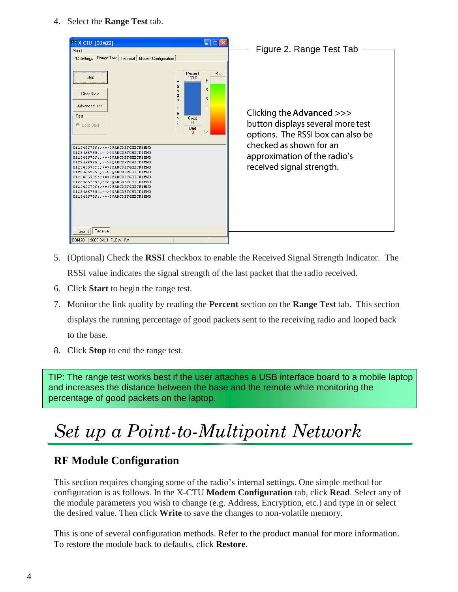4. Select the **Range Test** tab.



- 5. (Optional) Check the **RSSI** checkbox to enable the Received Signal Strength Indicator. The RSSI value indicates the signal strength of the last packet that the radio received.
- 6. Click **Start** to begin the range test.
- 7. Monitor the link quality by reading the **Percent** section on the **Range Test** tab. This section displays the running percentage of good packets sent to the receiving radio and looped back to the base.
- 8. Click **Stop** to end the range test.

TIP: The range test works best if the user attaches a USB interface board to a mobile laptop and increases the distance between the base and the remote while monitoring the percentage of good packets on the laptop.

# *Set up a Point-to-Multipoint Network*

#### **RF Module Configuration**

This section requires changing some of the radio's internal settings. One simple method for configuration is as follows. In the X-CTU **Modem Configuration** tab, click **Read**. Select any of the module parameters you wish to change (e.g. Address, Encryption, etc.) and type in or select the desired value. Then click **Write** to save the changes to non-volatile memory.

This is one of several configuration methods. Refer to the product manual for more information. To restore the module back to defaults, click **Restore**.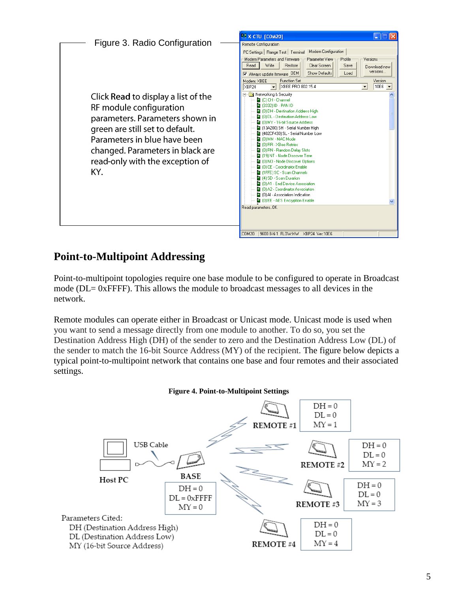

### **Point-to-Multipoint Addressing**

Point-to-multipoint topologies require one base module to be configured to operate in Broadcast mode (DL= 0xFFFF). This allows the module to broadcast messages to all devices in the network.

Remote modules can operate either in Broadcast or Unicast mode. Unicast mode is used when you want to send a message directly from one module to another. To do so, you set the Destination Address High (DH) of the sender to zero and the Destination Address Low (DL) of the sender to match the 16-bit Source Address (MY) of the recipient. The figure below depicts a typical point-to-multipoint network that contains one base and four remotes and their associated settings.

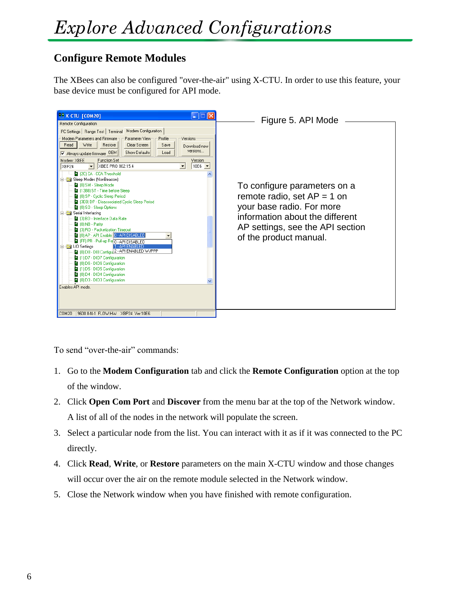### **Configure Remote Modules**

The XBees can also be configured "over-the-air" using X-CTU. In order to use this feature, your base device must be configured for API mode.



To send "over-the-air" commands:

- 1. Go to the **Modem Configuration** tab and click the **Remote Configuration** option at the top of the window.
- 2. Click **Open Com Port** and **Discover** from the menu bar at the top of the Network window. A list of all of the nodes in the network will populate the screen.
- 3. Select a particular node from the list. You can interact with it as if it was connected to the PC directly.
- 4. Click **Read**, **Write**, or **Restore** parameters on the main X-CTU window and those changes will occur over the air on the remote module selected in the Network window.
- 5. Close the Network window when you have finished with remote configuration.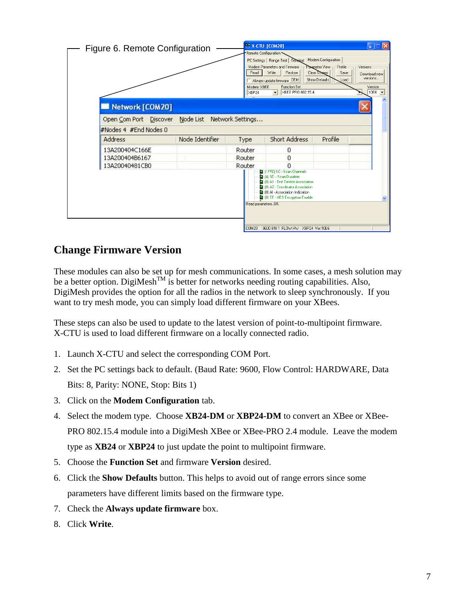

#### **Change Firmware Version**

These modules can also be set up for mesh communications. In some cases, a mesh solution may be a better option. DigiMesh<sup>TM</sup> is better for networks needing routing capabilities. Also, DigiMesh provides the option for all the radios in the network to sleep synchronously. If you want to try mesh mode, you can simply load different firmware on your XBees.

These steps can also be used to update to the latest version of point-to-multipoint firmware. X-CTU is used to load different firmware on a locally connected radio.

- 1. Launch X-CTU and select the corresponding COM Port.
- 2. Set the PC settings back to default. (Baud Rate: 9600, Flow Control: HARDWARE, Data Bits: 8, Parity: NONE, Stop: Bits 1)
- 3. Click on the **Modem Configuration** tab.
- 4. Select the modem type. Choose **XB24-DM** or **XBP24-DM** to convert an XBee or XBee-PRO 802.15.4 module into a DigiMesh XBee or XBee-PRO 2.4 module. Leave the modem type as **XB24** or **XBP24** to just update the point to multipoint firmware.
- 5. Choose the **Function Set** and firmware **Version** desired.
- 6. Click the **Show Defaults** button. This helps to avoid out of range errors since some parameters have different limits based on the firmware type.
- 7. Check the **Always update firmware** box.
- 8. Click **Write**.